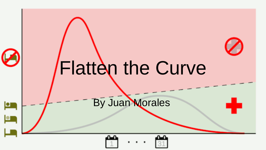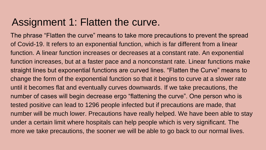## Assignment 1: Flatten the curve.

The phrase "Flatten the curve" means to take more precautions to prevent the spread of Covid-19. It refers to an exponential function, which is far different from a linear function. A linear function increases or decreases at a constant rate. An exponential function increases, but at a faster pace and a nonconstant rate. Linear functions make straight lines but exponential functions are curved lines. "Flatten the Curve" means to change the form of the exponential function so that it begins to curve at a slower rate until it becomes flat and eventually curves downwards. If we take precautions, the number of cases will begin decrease ergo "flattening the curve". One person who is tested positive can lead to 1296 people infected but if precautions are made, that number will be much lower. Precautions have really helped. We have been able to stay under a certain limit where hospitals can help people which is very significant. The more we take precautions, the sooner we will be able to go back to our normal lives.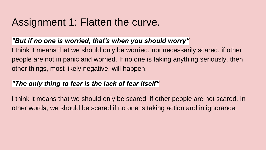## Assignment 1: Flatten the curve.

#### *"But if no one is worried, that's when you should worry"*

I think it means that we should only be worried, not necessarily scared, if other people are not in panic and worried. If no one is taking anything seriously, then other things, most likely negative, will happen.

#### *"The only thing to fear is the lack of fear itself"*

I think it means that we should only be scared, if other people are not scared. In other words, we should be scared if no one is taking action and in ignorance.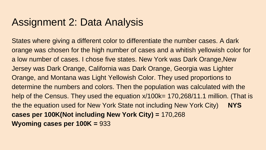## Assignment 2: Data Analysis

States where giving a different color to differentiate the number cases. A dark orange was chosen for the high number of cases and a whitish yellowish color for a low number of cases. I chose five states. New York was Dark Orange,New Jersey was Dark Orange, California was Dark Orange, Georgia was Lighter Orange, and Montana was Light Yellowish Color. They used proportions to determine the numbers and colors. Then the population was calculated with the help of the Census. They used the equation  $x/100k= 170,268/11.1$  million. (That is the the equation used for New York State not including New York City) **NYS cases per 100K(Not including New York City) =** 170,268 **Wyoming cases per 100K =** 933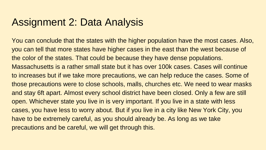### Assignment 2: Data Analysis

You can conclude that the states with the higher population have the most cases. Also, you can tell that more states have higher cases in the east than the west because of the color of the states. That could be because they have dense populations. Massachusetts is a rather small state but it has over 100k cases. Cases will continue to increases but if we take more precautions, we can help reduce the cases. Some of those precautions were to close schools, malls, churches etc. We need to wear masks and stay 6ft apart. Almost every school district have been closed. Only a few are still open. Whichever state you live in is very important. If you live in a state with less cases, you have less to worry about. But if you live in a city like New York City, you have to be extremely careful, as you should already be. As long as we take precautions and be careful, we will get through this.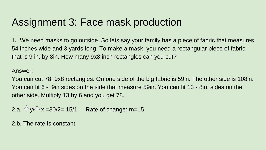## Assignment 3: Face mask production

**1.** We need masks to go outside. So lets say your family has a piece of fabric that measures 54 inches wide and 3 yards long. To make a mask, you need a rectangular piece of fabric that is 9 in. by 8in. How many 9x8 inch rectangles can you cut?

#### Answer:

You can cut 78, 9x8 rectangles. On one side of the big fabric is 59in. The other side is 108in. You can fit 6 - 9in sides on the side that measure 59in. You can fit 13 - 8in. sides on the other side. Multiply 13 by 6 and you get 78.

2.a.  $\triangle y/\triangle x = 30/2 = 15/1$  Rate of change: m=15

2.b. The rate is constant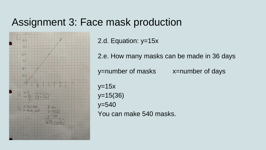#### Assignment 3: Face mask production



2.d. Equation: y=15x

2.e. How many masks can be made in 36 days

y=number of masks x=number of days

 $y=15x$ y=15(36) y=540 You can make 540 masks.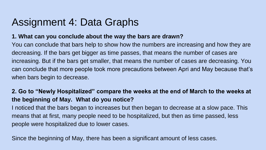# Assignment 4: Data Graphs

#### **1. What can you conclude about the way the bars are drawn?**

You can conclude that bars help to show how the numbers are increasing and how they are decreasing. If the bars get bigger as time passes, that means the number of cases are increasing. But if the bars get smaller, that means the number of cases are decreasing. You can conclude that more people took more precautions between Apri and May because that's when bars begin to decrease.

#### **2. Go to "Newly Hospitalized" compare the weeks at the end of March to the weeks at the beginning of May. What do you notice?**

I noticed that the bars began to increases but then began to decrease at a slow pace. This means that at first, many people need to be hospitalized, but then as time passed, less people were hospitalized due to lower cases.

Since the beginning of May, there has been a significant amount of less cases.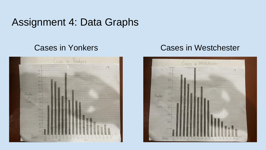### Assignment 4: Data Graphs



#### Cases in Yonkers Cases in Westchester

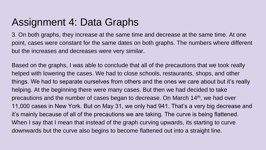## Assignment 4: Data Graphs

3. On both graphs, they increase at the same time and decrease at the same time. At one point, cases were constant for the same dates on both graphs. The numbers where different but the increases and decreases were very similar.

Based on the graphs, I was able to conclude that all of the precautions that we took really helped with lowering the cases. We had to close schools, restaurants, shops, and other things. We had to separate ourselves from others and the ones we care about but it's really helping. At the beginning there were many cases. But then we had decided to take precautions and the number of cases began to decrease. On March 14<sup>th</sup>, we had over 11,000 cases in New York. But on May 31, we only had 941. That's a very big decrease and it's mainly because of all of the precautions we are taking. The curve is being flattened. When I say that I mean that instead of the graph curving upwards, its starting to curve downwards but the curve also begins to become flattened out into a straight line.